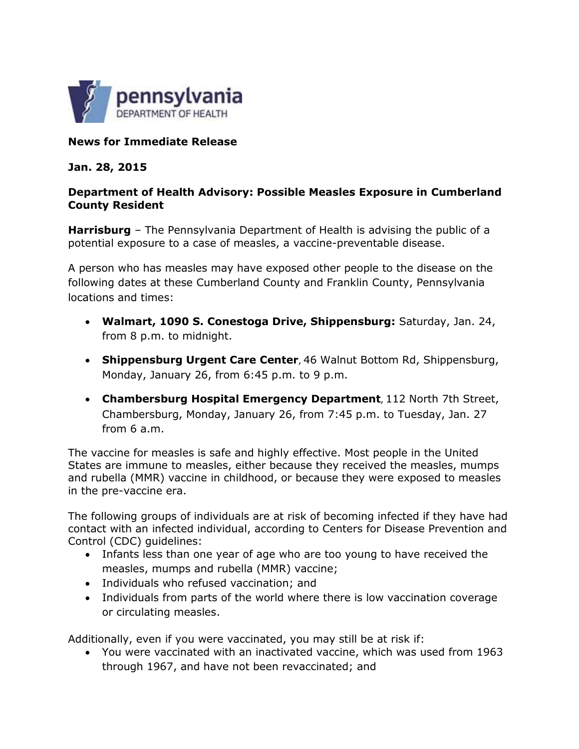

## **News for Immediate Release**

## **Jan. 28, 2015**

## **Department of Health Advisory: Possible Measles Exposure in Cumberland County Resident**

**Harrisburg** – The Pennsylvania Department of Health is advising the public of a potential exposure to a case of measles, a vaccine-preventable disease.

A person who has measles may have exposed other people to the disease on the following dates at these Cumberland County and Franklin County, Pennsylvania locations and times:

- **Walmart, 1090 S. Conestoga Drive, Shippensburg:** Saturday, Jan. 24, from 8 p.m. to midnight.
- **Shippensburg Urgent Care Center**, 46 Walnut Bottom Rd, Shippensburg, Monday, January 26, from 6:45 p.m. to 9 p.m.
- **Chambersburg Hospital Emergency Department**, 112 North 7th Street, Chambersburg, Monday, January 26, from 7:45 p.m. to Tuesday, Jan. 27 from 6 a.m.

The vaccine for measles is safe and highly effective. Most people in the United States are immune to measles, either because they received the measles, mumps and rubella (MMR) vaccine in childhood, or because they were exposed to measles in the pre-vaccine era.

The following groups of individuals are at risk of becoming infected if they have had contact with an infected individual, according to Centers for Disease Prevention and Control (CDC) guidelines:

- Infants less than one year of age who are too young to have received the measles, mumps and rubella (MMR) vaccine;
- Individuals who refused vaccination; and
- Individuals from parts of the world where there is low vaccination coverage or circulating measles.

Additionally, even if you were vaccinated, you may still be at risk if:

 You were vaccinated with an inactivated vaccine, which was used from 1963 through 1967, and have not been revaccinated; and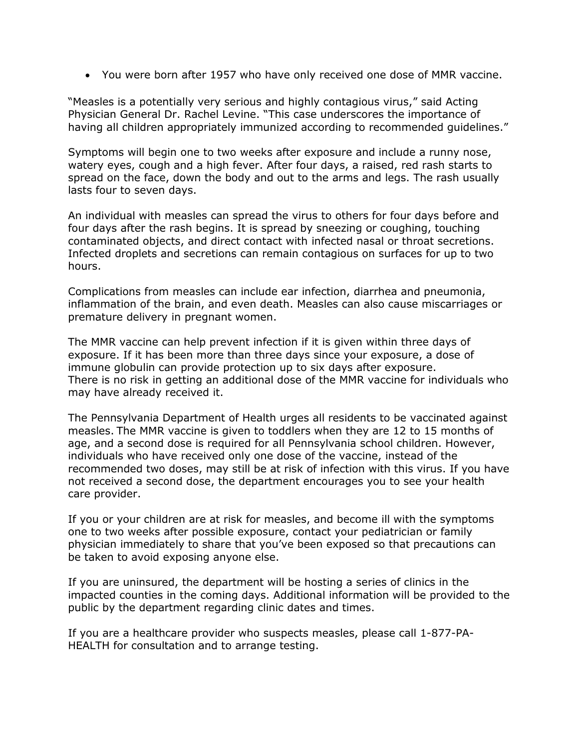You were born after 1957 who have only received one dose of MMR vaccine.

"Measles is a potentially very serious and highly contagious virus," said Acting Physician General Dr. Rachel Levine. "This case underscores the importance of having all children appropriately immunized according to recommended guidelines."

Symptoms will begin one to two weeks after exposure and include a runny nose, watery eyes, cough and a high fever. After four days, a raised, red rash starts to spread on the face, down the body and out to the arms and legs. The rash usually lasts four to seven days.

An individual with measles can spread the virus to others for four days before and four days after the rash begins. It is spread by sneezing or coughing, touching contaminated objects, and direct contact with infected nasal or throat secretions. Infected droplets and secretions can remain contagious on surfaces for up to two hours.

Complications from measles can include ear infection, diarrhea and pneumonia, inflammation of the brain, and even death. Measles can also cause miscarriages or premature delivery in pregnant women.

The MMR vaccine can help prevent infection if it is given within three days of exposure. If it has been more than three days since your exposure, a dose of immune globulin can provide protection up to six days after exposure. There is no risk in getting an additional dose of the MMR vaccine for individuals who may have already received it.

The Pennsylvania Department of Health urges all residents to be vaccinated against measles. The MMR vaccine is given to toddlers when they are 12 to 15 months of age, and a second dose is required for all Pennsylvania school children. However, individuals who have received only one dose of the vaccine, instead of the recommended two doses, may still be at risk of infection with this virus. If you have not received a second dose, the department encourages you to see your health care provider.

If you or your children are at risk for measles, and become ill with the symptoms one to two weeks after possible exposure, contact your pediatrician or family physician immediately to share that you've been exposed so that precautions can be taken to avoid exposing anyone else.

If you are uninsured, the department will be hosting a series of clinics in the impacted counties in the coming days. Additional information will be provided to the public by the department regarding clinic dates and times.

If you are a healthcare provider who suspects measles, please call 1-877-PA-HEALTH for consultation and to arrange testing.